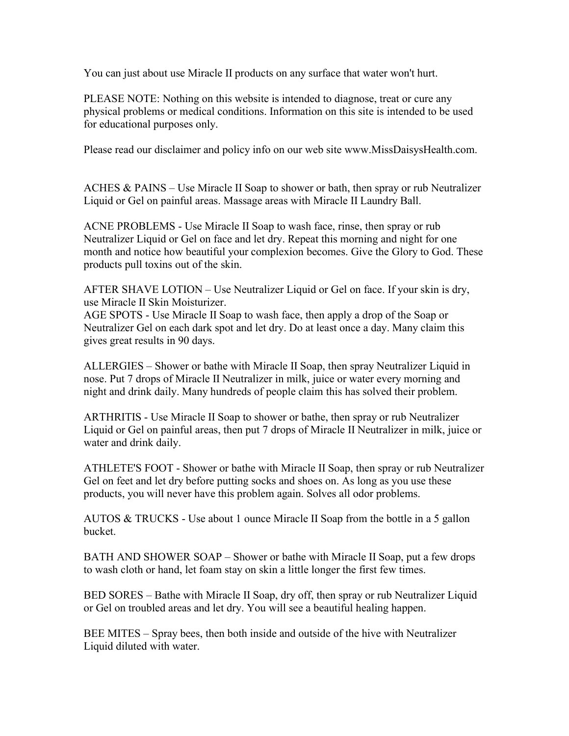You can just about use Miracle II products on any surface that water won't hurt.

PLEASE NOTE: Nothing on this website is intended to diagnose, treat or cure any physical problems or medical conditions. Information on this site is intended to be used for educational purposes only.

Please read our disclaimer and policy info on our web site www.MissDaisysHealth.com.

ACHES & PAINS – Use Miracle II Soap to shower or bath, then spray or rub Neutralizer Liquid or Gel on painful areas. Massage areas with Miracle II Laundry Ball.

ACNE PROBLEMS - Use Miracle II Soap to wash face, rinse, then spray or rub Neutralizer Liquid or Gel on face and let dry. Repeat this morning and night for one month and notice how beautiful your complexion becomes. Give the Glory to God. These products pull toxins out of the skin.

AFTER SHAVE LOTION – Use Neutralizer Liquid or Gel on face. If your skin is dry, use Miracle II Skin Moisturizer.

AGE SPOTS - Use Miracle II Soap to wash face, then apply a drop of the Soap or Neutralizer Gel on each dark spot and let dry. Do at least once a day. Many claim this gives great results in 90 days.

ALLERGIES – Shower or bathe with Miracle II Soap, then spray Neutralizer Liquid in nose. Put 7 drops of Miracle II Neutralizer in milk, juice or water every morning and night and drink daily. Many hundreds of people claim this has solved their problem.

ARTHRITIS - Use Miracle II Soap to shower or bathe, then spray or rub Neutralizer Liquid or Gel on painful areas, then put 7 drops of Miracle II Neutralizer in milk, juice or water and drink daily.

ATHLETE'S FOOT - Shower or bathe with Miracle II Soap, then spray or rub Neutralizer Gel on feet and let dry before putting socks and shoes on. As long as you use these products, you will never have this problem again. Solves all odor problems.

AUTOS & TRUCKS - Use about 1 ounce Miracle II Soap from the bottle in a 5 gallon bucket.

BATH AND SHOWER SOAP – Shower or bathe with Miracle II Soap, put a few drops to wash cloth or hand, let foam stay on skin a little longer the first few times.

BED SORES – Bathe with Miracle II Soap, dry off, then spray or rub Neutralizer Liquid or Gel on troubled areas and let dry. You will see a beautiful healing happen.

BEE MITES – Spray bees, then both inside and outside of the hive with Neutralizer Liquid diluted with water.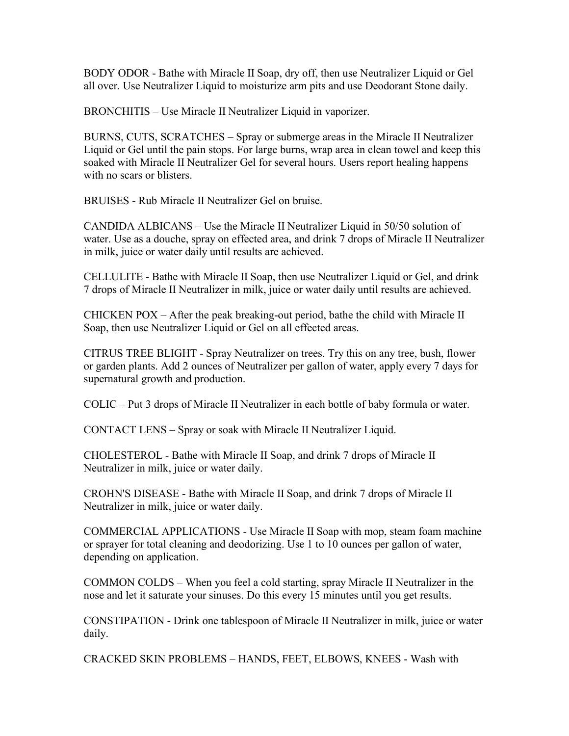BODY ODOR - Bathe with Miracle II Soap, dry off, then use Neutralizer Liquid or Gel all over. Use Neutralizer Liquid to moisturize arm pits and use Deodorant Stone daily.

BRONCHITIS – Use Miracle II Neutralizer Liquid in vaporizer.

BURNS, CUTS, SCRATCHES – Spray or submerge areas in the Miracle II Neutralizer Liquid or Gel until the pain stops. For large burns, wrap area in clean towel and keep this soaked with Miracle II Neutralizer Gel for several hours. Users report healing happens with no scars or blisters.

BRUISES - Rub Miracle II Neutralizer Gel on bruise.

CANDIDA ALBICANS – Use the Miracle II Neutralizer Liquid in 50/50 solution of water. Use as a douche, spray on effected area, and drink 7 drops of Miracle II Neutralizer in milk, juice or water daily until results are achieved.

CELLULITE - Bathe with Miracle II Soap, then use Neutralizer Liquid or Gel, and drink 7 drops of Miracle II Neutralizer in milk, juice or water daily until results are achieved.

CHICKEN POX – After the peak breaking-out period, bathe the child with Miracle II Soap, then use Neutralizer Liquid or Gel on all effected areas.

CITRUS TREE BLIGHT - Spray Neutralizer on trees. Try this on any tree, bush, flower or garden plants. Add 2 ounces of Neutralizer per gallon of water, apply every 7 days for supernatural growth and production.

COLIC – Put 3 drops of Miracle II Neutralizer in each bottle of baby formula or water.

CONTACT LENS – Spray or soak with Miracle II Neutralizer Liquid.

CHOLESTEROL - Bathe with Miracle II Soap, and drink 7 drops of Miracle II Neutralizer in milk, juice or water daily.

CROHN'S DISEASE - Bathe with Miracle II Soap, and drink 7 drops of Miracle II Neutralizer in milk, juice or water daily.

COMMERCIAL APPLICATIONS - Use Miracle II Soap with mop, steam foam machine or sprayer for total cleaning and deodorizing. Use 1 to 10 ounces per gallon of water, depending on application.

COMMON COLDS – When you feel a cold starting, spray Miracle II Neutralizer in the nose and let it saturate your sinuses. Do this every 15 minutes until you get results.

CONSTIPATION - Drink one tablespoon of Miracle II Neutralizer in milk, juice or water daily.

CRACKED SKIN PROBLEMS – HANDS, FEET, ELBOWS, KNEES - Wash with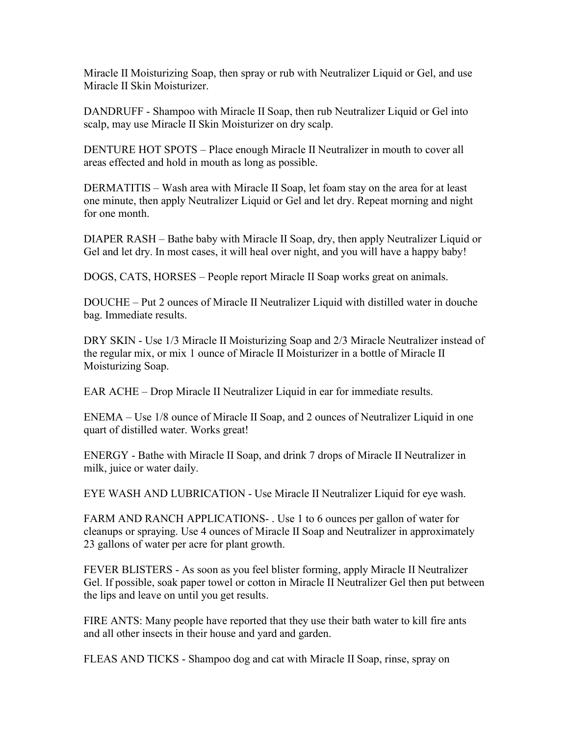Miracle II Moisturizing Soap, then spray or rub with Neutralizer Liquid or Gel, and use Miracle II Skin Moisturizer.

DANDRUFF - Shampoo with Miracle II Soap, then rub Neutralizer Liquid or Gel into scalp, may use Miracle II Skin Moisturizer on dry scalp.

DENTURE HOT SPOTS – Place enough Miracle II Neutralizer in mouth to cover all areas effected and hold in mouth as long as possible.

DERMATITIS – Wash area with Miracle II Soap, let foam stay on the area for at least one minute, then apply Neutralizer Liquid or Gel and let dry. Repeat morning and night for one month.

DIAPER RASH – Bathe baby with Miracle II Soap, dry, then apply Neutralizer Liquid or Gel and let dry. In most cases, it will heal over night, and you will have a happy baby!

DOGS, CATS, HORSES – People report Miracle II Soap works great on animals.

DOUCHE – Put 2 ounces of Miracle II Neutralizer Liquid with distilled water in douche bag. Immediate results.

DRY SKIN - Use 1/3 Miracle II Moisturizing Soap and 2/3 Miracle Neutralizer instead of the regular mix, or mix 1 ounce of Miracle II Moisturizer in a bottle of Miracle II Moisturizing Soap.

EAR ACHE – Drop Miracle II Neutralizer Liquid in ear for immediate results.

ENEMA – Use 1/8 ounce of Miracle II Soap, and 2 ounces of Neutralizer Liquid in one quart of distilled water. Works great!

ENERGY - Bathe with Miracle II Soap, and drink 7 drops of Miracle II Neutralizer in milk, juice or water daily.

EYE WASH AND LUBRICATION - Use Miracle II Neutralizer Liquid for eye wash.

FARM AND RANCH APPLICATIONS- . Use 1 to 6 ounces per gallon of water for cleanups or spraying. Use 4 ounces of Miracle II Soap and Neutralizer in approximately 23 gallons of water per acre for plant growth.

FEVER BLISTERS - As soon as you feel blister forming, apply Miracle II Neutralizer Gel. If possible, soak paper towel or cotton in Miracle II Neutralizer Gel then put between the lips and leave on until you get results.

FIRE ANTS: Many people have reported that they use their bath water to kill fire ants and all other insects in their house and yard and garden.

FLEAS AND TICKS - Shampoo dog and cat with Miracle II Soap, rinse, spray on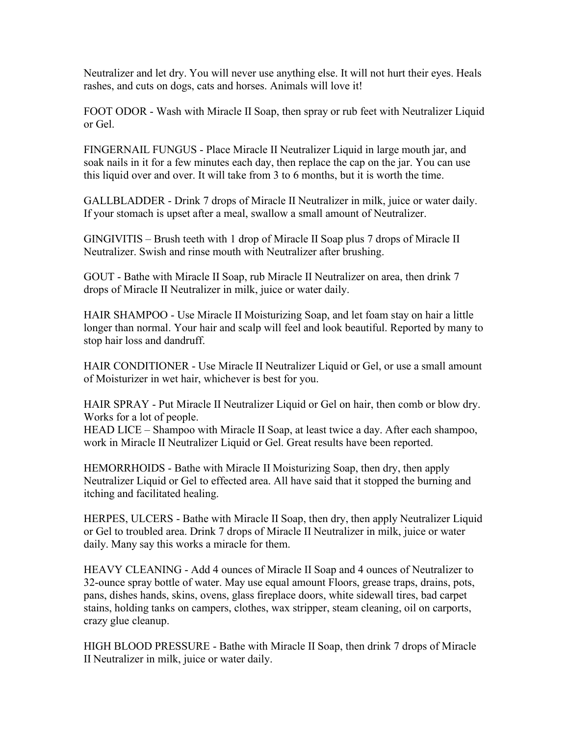Neutralizer and let dry. You will never use anything else. It will not hurt their eyes. Heals rashes, and cuts on dogs, cats and horses. Animals will love it!

FOOT ODOR - Wash with Miracle II Soap, then spray or rub feet with Neutralizer Liquid or Gel.

FINGERNAIL FUNGUS - Place Miracle II Neutralizer Liquid in large mouth jar, and soak nails in it for a few minutes each day, then replace the cap on the jar. You can use this liquid over and over. It will take from 3 to 6 months, but it is worth the time.

GALLBLADDER - Drink 7 drops of Miracle II Neutralizer in milk, juice or water daily. If your stomach is upset after a meal, swallow a small amount of Neutralizer.

GINGIVITIS – Brush teeth with 1 drop of Miracle II Soap plus 7 drops of Miracle II Neutralizer. Swish and rinse mouth with Neutralizer after brushing.

GOUT - Bathe with Miracle II Soap, rub Miracle II Neutralizer on area, then drink 7 drops of Miracle II Neutralizer in milk, juice or water daily.

HAIR SHAMPOO - Use Miracle II Moisturizing Soap, and let foam stay on hair a little longer than normal. Your hair and scalp will feel and look beautiful. Reported by many to stop hair loss and dandruff.

HAIR CONDITIONER - Use Miracle II Neutralizer Liquid or Gel, or use a small amount of Moisturizer in wet hair, whichever is best for you.

HAIR SPRAY - Put Miracle II Neutralizer Liquid or Gel on hair, then comb or blow dry. Works for a lot of people.

HEAD LICE – Shampoo with Miracle II Soap, at least twice a day. After each shampoo, work in Miracle II Neutralizer Liquid or Gel. Great results have been reported.

HEMORRHOIDS - Bathe with Miracle II Moisturizing Soap, then dry, then apply Neutralizer Liquid or Gel to effected area. All have said that it stopped the burning and itching and facilitated healing.

HERPES, ULCERS - Bathe with Miracle II Soap, then dry, then apply Neutralizer Liquid or Gel to troubled area. Drink 7 drops of Miracle II Neutralizer in milk, juice or water daily. Many say this works a miracle for them.

HEAVY CLEANING - Add 4 ounces of Miracle II Soap and 4 ounces of Neutralizer to 32-ounce spray bottle of water. May use equal amount Floors, grease traps, drains, pots, pans, dishes hands, skins, ovens, glass fireplace doors, white sidewall tires, bad carpet stains, holding tanks on campers, clothes, wax stripper, steam cleaning, oil on carports, crazy glue cleanup.

HIGH BLOOD PRESSURE - Bathe with Miracle II Soap, then drink 7 drops of Miracle II Neutralizer in milk, juice or water daily.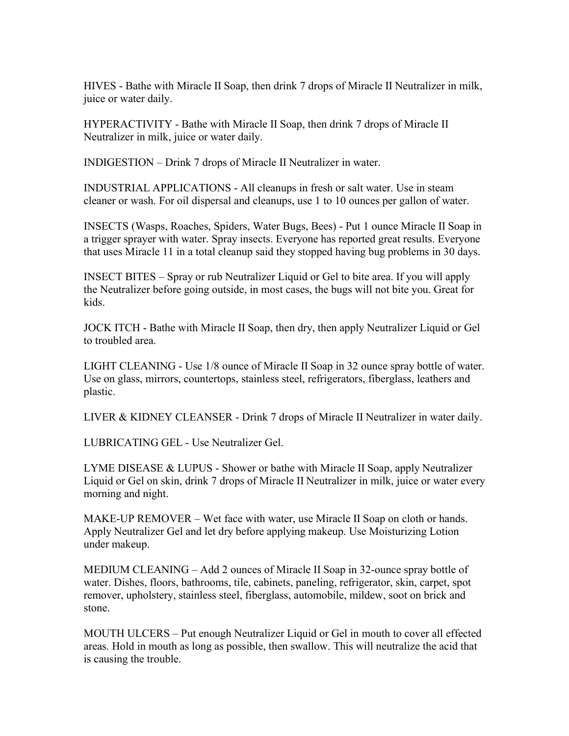HIVES - Bathe with Miracle II Soap, then drink 7 drops of Miracle II Neutralizer in milk, juice or water daily.

HYPERACTIVITY - Bathe with Miracle II Soap, then drink 7 drops of Miracle II Neutralizer in milk, juice or water daily.

INDIGESTION – Drink 7 drops of Miracle II Neutralizer in water.

INDUSTRIAL APPLICATIONS - All cleanups in fresh or salt water. Use in steam cleaner or wash. For oil dispersal and cleanups, use 1 to 10 ounces per gallon of water.

INSECTS (Wasps, Roaches, Spiders, Water Bugs, Bees) - Put 1 ounce Miracle II Soap in a trigger sprayer with water. Spray insects. Everyone has reported great results. Everyone that uses Miracle 11 in a total cleanup said they stopped having bug problems in 30 days.

INSECT BITES – Spray or rub Neutralizer Liquid or Gel to bite area. If you will apply the Neutralizer before going outside, in most cases, the bugs will not bite you. Great for kids.

JOCK ITCH - Bathe with Miracle II Soap, then dry, then apply Neutralizer Liquid or Gel to troubled area.

LIGHT CLEANING - Use 1/8 ounce of Miracle II Soap in 32 ounce spray bottle of water. Use on glass, mirrors, countertops, stainless steel, refrigerators, fiberglass, leathers and plastic.

LIVER & KIDNEY CLEANSER - Drink 7 drops of Miracle II Neutralizer in water daily.

LUBRICATING GEL - Use Neutralizer Gel.

LYME DISEASE & LUPUS - Shower or bathe with Miracle II Soap, apply Neutralizer Liquid or Gel on skin, drink 7 drops of Miracle II Neutralizer in milk, juice or water every morning and night.

MAKE-UP REMOVER – Wet face with water, use Miracle II Soap on cloth or hands. Apply Neutralizer Gel and let dry before applying makeup. Use Moisturizing Lotion under makeup.

MEDIUM CLEANING – Add 2 ounces of Miracle II Soap in 32-ounce spray bottle of water. Dishes, floors, bathrooms, tile, cabinets, paneling, refrigerator, skin, carpet, spot remover, upholstery, stainless steel, fiberglass, automobile, mildew, soot on brick and stone.

MOUTH ULCERS – Put enough Neutralizer Liquid or Gel in mouth to cover all effected areas. Hold in mouth as long as possible, then swallow. This will neutralize the acid that is causing the trouble.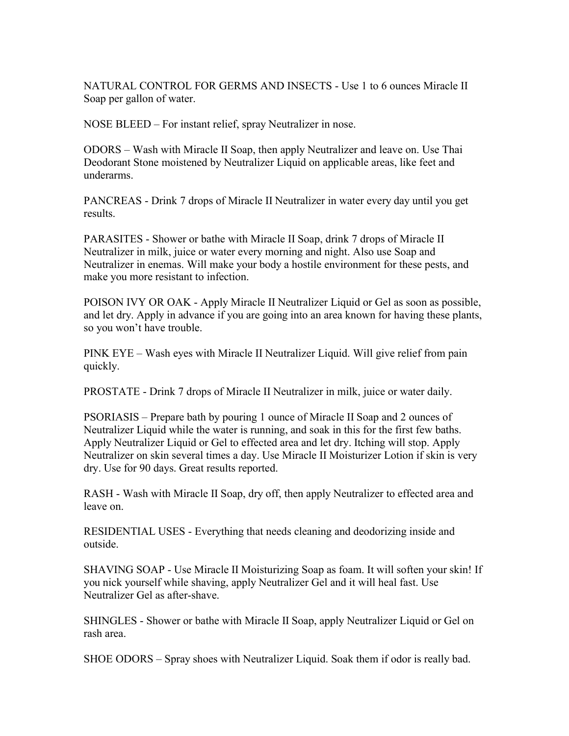NATURAL CONTROL FOR GERMS AND INSECTS - Use 1 to 6 ounces Miracle II Soap per gallon of water.

NOSE BLEED – For instant relief, spray Neutralizer in nose.

ODORS – Wash with Miracle II Soap, then apply Neutralizer and leave on. Use Thai Deodorant Stone moistened by Neutralizer Liquid on applicable areas, like feet and underarms.

PANCREAS - Drink 7 drops of Miracle II Neutralizer in water every day until you get results.

PARASITES - Shower or bathe with Miracle II Soap, drink 7 drops of Miracle II Neutralizer in milk, juice or water every morning and night. Also use Soap and Neutralizer in enemas. Will make your body a hostile environment for these pests, and make you more resistant to infection.

POISON IVY OR OAK - Apply Miracle II Neutralizer Liquid or Gel as soon as possible, and let dry. Apply in advance if you are going into an area known for having these plants, so you won't have trouble.

PINK EYE – Wash eyes with Miracle II Neutralizer Liquid. Will give relief from pain quickly.

PROSTATE - Drink 7 drops of Miracle II Neutralizer in milk, juice or water daily.

PSORIASIS – Prepare bath by pouring 1 ounce of Miracle II Soap and 2 ounces of Neutralizer Liquid while the water is running, and soak in this for the first few baths. Apply Neutralizer Liquid or Gel to effected area and let dry. Itching will stop. Apply Neutralizer on skin several times a day. Use Miracle II Moisturizer Lotion if skin is very dry. Use for 90 days. Great results reported.

RASH - Wash with Miracle II Soap, dry off, then apply Neutralizer to effected area and leave on.

RESIDENTIAL USES - Everything that needs cleaning and deodorizing inside and outside.

SHAVING SOAP - Use Miracle II Moisturizing Soap as foam. It will soften your skin! If you nick yourself while shaving, apply Neutralizer Gel and it will heal fast. Use Neutralizer Gel as after-shave.

SHINGLES - Shower or bathe with Miracle II Soap, apply Neutralizer Liquid or Gel on rash area.

SHOE ODORS – Spray shoes with Neutralizer Liquid. Soak them if odor is really bad.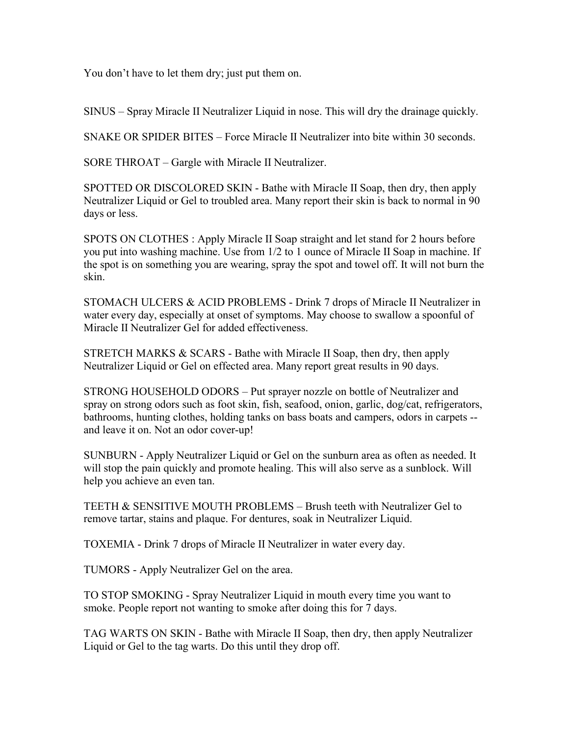You don't have to let them dry; just put them on.

SINUS – Spray Miracle II Neutralizer Liquid in nose. This will dry the drainage quickly.

SNAKE OR SPIDER BITES – Force Miracle II Neutralizer into bite within 30 seconds.

SORE THROAT – Gargle with Miracle II Neutralizer.

SPOTTED OR DISCOLORED SKIN - Bathe with Miracle II Soap, then dry, then apply Neutralizer Liquid or Gel to troubled area. Many report their skin is back to normal in 90 days or less.

SPOTS ON CLOTHES : Apply Miracle II Soap straight and let stand for 2 hours before you put into washing machine. Use from 1/2 to 1 ounce of Miracle II Soap in machine. If the spot is on something you are wearing, spray the spot and towel off. It will not burn the skin.

STOMACH ULCERS & ACID PROBLEMS - Drink 7 drops of Miracle II Neutralizer in water every day, especially at onset of symptoms. May choose to swallow a spoonful of Miracle II Neutralizer Gel for added effectiveness.

STRETCH MARKS & SCARS - Bathe with Miracle II Soap, then dry, then apply Neutralizer Liquid or Gel on effected area. Many report great results in 90 days.

STRONG HOUSEHOLD ODORS – Put sprayer nozzle on bottle of Neutralizer and spray on strong odors such as foot skin, fish, seafood, onion, garlic, dog/cat, refrigerators, bathrooms, hunting clothes, holding tanks on bass boats and campers, odors in carpets - and leave it on. Not an odor cover-up!

SUNBURN - Apply Neutralizer Liquid or Gel on the sunburn area as often as needed. It will stop the pain quickly and promote healing. This will also serve as a sunblock. Will help you achieve an even tan.

TEETH & SENSITIVE MOUTH PROBLEMS – Brush teeth with Neutralizer Gel to remove tartar, stains and plaque. For dentures, soak in Neutralizer Liquid.

TOXEMIA - Drink 7 drops of Miracle II Neutralizer in water every day.

TUMORS - Apply Neutralizer Gel on the area.

TO STOP SMOKING - Spray Neutralizer Liquid in mouth every time you want to smoke. People report not wanting to smoke after doing this for 7 days.

TAG WARTS ON SKIN - Bathe with Miracle II Soap, then dry, then apply Neutralizer Liquid or Gel to the tag warts. Do this until they drop off.